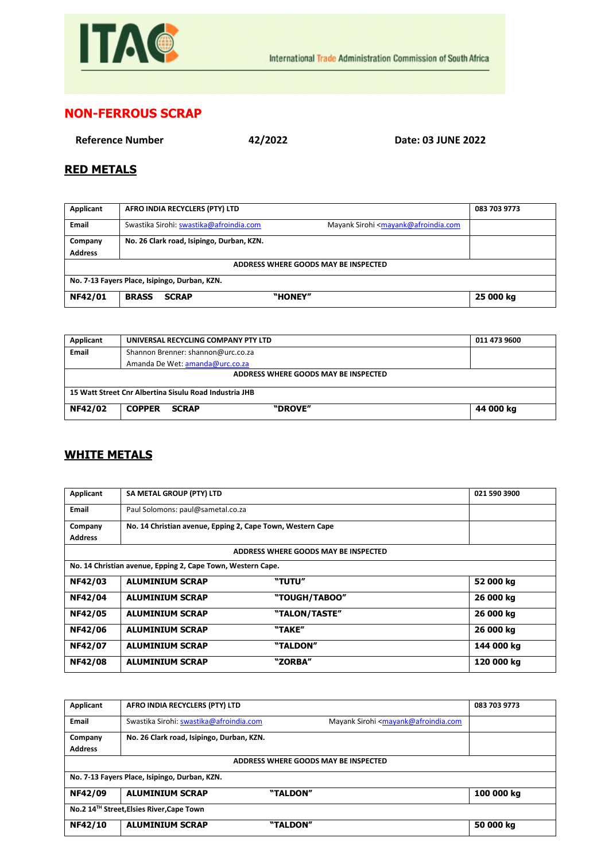

## **NON-FERROUS SCRAP**

**Reference Number 42/2022 Date: 03 JUNE 2022**

## **RED METALS**

| Applicant                                     | AFRO INDIA RECYCLERS (PTY) LTD                                                                           | 083 703 9773 |  |  |
|-----------------------------------------------|----------------------------------------------------------------------------------------------------------|--------------|--|--|
| Email                                         | Mayank Sirohi <mayank@afroindia.com<br>Swastika Sirohi: swastika@afroindia.com</mayank@afroindia.com<br> |              |  |  |
| Company<br><b>Address</b>                     | No. 26 Clark road, Isipingo, Durban, KZN.                                                                |              |  |  |
| ADDRESS WHERE GOODS MAY BE INSPECTED          |                                                                                                          |              |  |  |
| No. 7-13 Fayers Place, Isipingo, Durban, KZN. |                                                                                                          |              |  |  |
| NF42/01                                       | "HONEY"<br><b>BRASS</b><br><b>SCRAP</b>                                                                  | 25 000 kg    |  |  |

| Applicant                                              | UNIVERSAL RECYCLING COMPANY PTY LTD      | 011 473 9600 |  |  |
|--------------------------------------------------------|------------------------------------------|--------------|--|--|
| <b>Email</b>                                           | Shannon Brenner: shannon@urc.co.za       |              |  |  |
|                                                        | Amanda De Wet: amanda@urc.co.za          |              |  |  |
| ADDRESS WHERE GOODS MAY BE INSPECTED                   |                                          |              |  |  |
| 15 Watt Street Cnr Albertina Sisulu Road Industria JHB |                                          |              |  |  |
| NF42/02                                                | "DROVE"<br><b>COPPER</b><br><b>SCRAP</b> | 44 000 kg    |  |  |

## **WHITE METALS**

| Applicant                                                   | SA METAL GROUP (PTY) LTD                                   |                                      | 021 590 3900 |
|-------------------------------------------------------------|------------------------------------------------------------|--------------------------------------|--------------|
| Email                                                       | Paul Solomons: paul@sametal.co.za                          |                                      |              |
| Company                                                     | No. 14 Christian avenue, Epping 2, Cape Town, Western Cape |                                      |              |
| <b>Address</b>                                              |                                                            |                                      |              |
|                                                             |                                                            | ADDRESS WHERE GOODS MAY BE INSPECTED |              |
| No. 14 Christian avenue, Epping 2, Cape Town, Western Cape. |                                                            |                                      |              |
| NF42/03                                                     | <b>ALUMINIUM SCRAP</b>                                     | "TUTU"                               | 52 000 kg    |
| NF42/04                                                     | <b>ALUMINIUM SCRAP</b>                                     | "TOUGH/TABOO"                        | 26 000 kg    |
| NF42/05                                                     | <b>ALUMINIUM SCRAP</b>                                     | "TALON/TASTE"                        | 26 000 kg    |
| NF42/06                                                     | <b>ALUMINIUM SCRAP</b>                                     | "TAKE"                               | 26 000 kg    |
| NF42/07                                                     | <b>ALUMINIUM SCRAP</b>                                     | "TALDON"                             | 144 000 kg   |
| <b>NF42/08</b>                                              | <b>ALUMINIUM SCRAP</b>                                     | "ZORBA"                              | 120 000 kg   |

| Applicant                                     | AFRO INDIA RECYCLERS (PTY) LTD            | 083 703 9773                                                        |  |  |
|-----------------------------------------------|-------------------------------------------|---------------------------------------------------------------------|--|--|
| Email                                         | Swastika Sirohi: swastika@afroindia.com   | Mayank Sirohi <mayank@afroindia.com< td=""></mayank@afroindia.com<> |  |  |
| Company                                       | No. 26 Clark road, Isipingo, Durban, KZN. |                                                                     |  |  |
| <b>Address</b>                                |                                           |                                                                     |  |  |
| ADDRESS WHERE GOODS MAY BE INSPECTED          |                                           |                                                                     |  |  |
| No. 7-13 Fayers Place, Isipingo, Durban, KZN. |                                           |                                                                     |  |  |
| NF42/09                                       | <b>ALUMINIUM SCRAP</b><br>"TALDON"        | 100 000 kg                                                          |  |  |
| No.2 14™ Street, Elsies River, Cape Town      |                                           |                                                                     |  |  |
| NF42/10                                       | <b>ALUMINIUM SCRAP</b><br>"TALDON"        | 50 000 kg                                                           |  |  |